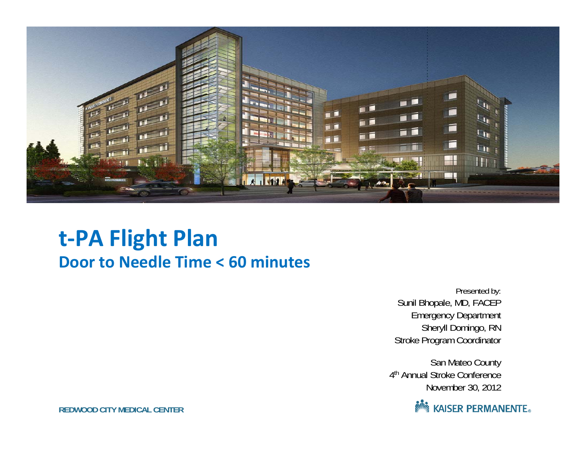

### **t‐PA Flight Plan Door to Needle Time <sup>&</sup>lt; 60 minutes**

Presented by: Sunil Bhopale, MD, FACEP Emergency Department Sheryll Domingo, RN Stroke Program Coordinator

San Mateo County 4<sup>th</sup> Annual Stroke Conference November 30, 2012



**REDWOOD CITY MEDICAL CENTER**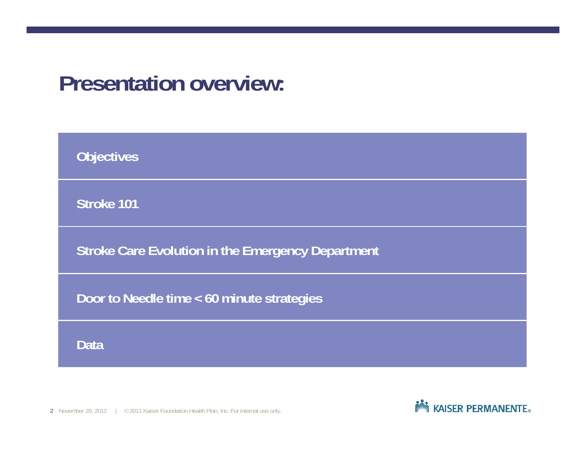### **Presentation overview:**

| <b>Objectives</b>                                        |
|----------------------------------------------------------|
| Stroke 101                                               |
| <b>Stroke Care Evolution in the Emergency Department</b> |
| Door to Needle time < 60 minute strategies               |
| Data                                                     |

2 November 29, 2012 | © 2011 Kaiser Foundation Health Plan, Inc. For internal use only.

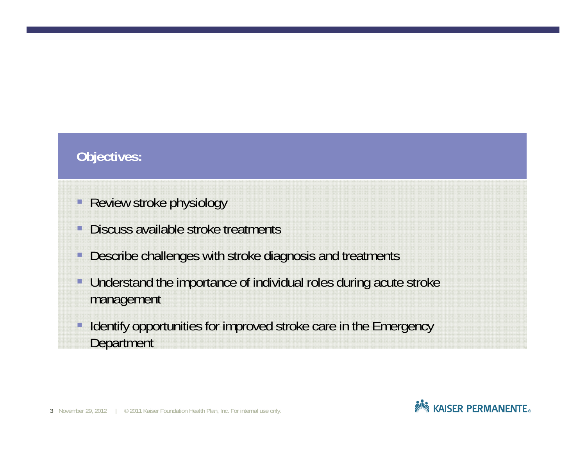### **Objectives:**

- П Review stroke physiology
- Discuss available stroke treatments
- Describe challenges with stroke diagnosis and treatments
- Understand the importance of individual roles during acute stroke management
- Identify opportunities for improved stroke care in the Emergency **Department**

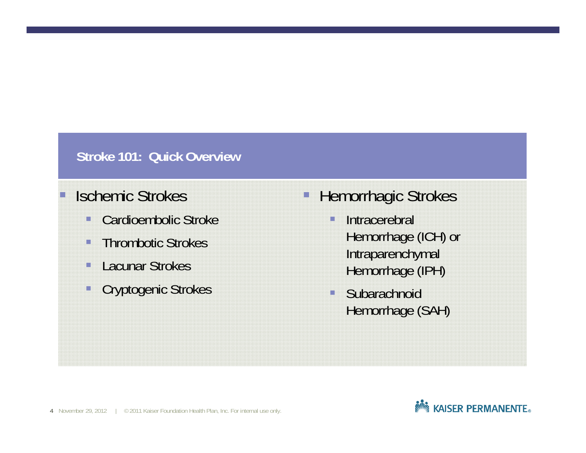#### **Stroke 101: Quick Overview**

### Ischemic Strokes

- $\Box$ Cardioembolic Stroke
- i i Thrombotic Strokes
- Ō. Lacunar Strokes
- H Cryptogenic Strokes
- $\Box$  Hemorrhagic Strokes
	- П Intracerebral Hemorrhage (ICH) or Intraparenchymal Hemorrhage (IPH)
	- П **Subarachnoid** Hemorrhage (SAH)

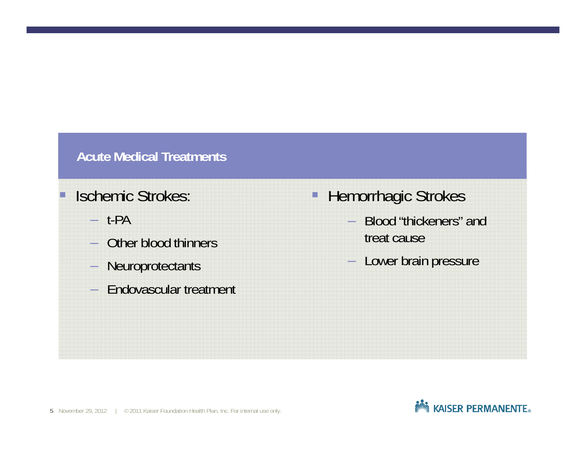#### **Acute Medical Treatments**

### Ischemic Strokes:

- t-PA
- Other blood thinners
- –**Neuroprotectants**
- –Endovascular treatment
- H Hemorrhagic Strokes
	- Blood "thickeners" and treat cause
	- Lower brain pressure

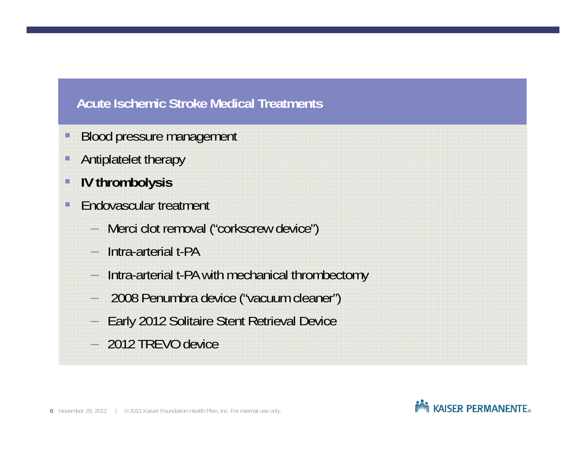#### **Acute Ischemic Stroke Medical Treatments**

- $\Box$ Blood pressure management
- $\Box$ Antiplatelet therapy
- $\Box$ **IV thrombolysis**
- $\Box$  Endovascular treatment
	- –Merci clot removal ("corkscrew device")
	- Intra-arterial t-PA
	- –Intra-arterial t-PA with mechanical thrombectomy
	- 2008 Penumbra device ("vacuum cleaner")
	- Early 2012 Solitaire Stent Retrieval Device
	- 2012 TREVO device

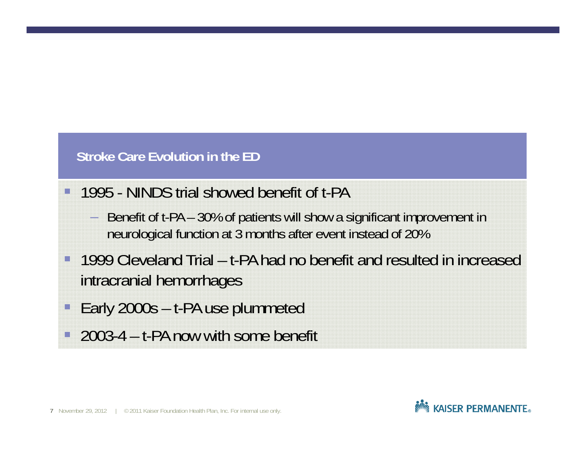#### **Stroke Care Evolution in the ED**

n

- 1995 NINDS trial showed benefit of t-PA
	- – Benefit of t-PA – 30% of patients will show a significant improvement in neurological function at 3 months after event instead of 20%
- $\Box$  1999 Cleveland Trial – t-PA had no benefit and resulted in increased intracranial hemorrhages
- $\Box$ Early 2000s – t-PA use plummeted
- $\Box$ 2003-4 – t-PA now with some benefit

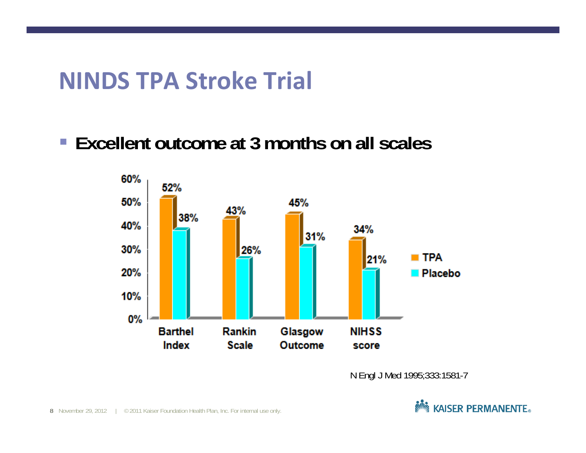## **NINDS TPA Stroke Trial**

**Excellent outcome at 3 months on all scales**



N Engl J Med 1995;333:1581-7

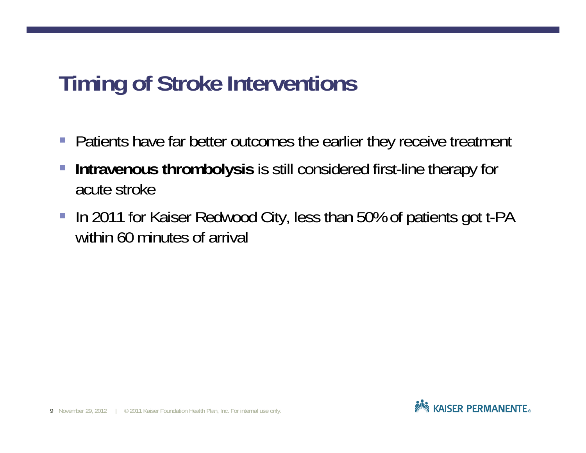## **Timing of Stroke Interventions**

- **Patients have far better outcomes the earlier they receive treatment**
- $\mathcal{L}_{\mathcal{A}}$  **Intravenous thrombolysis** is still considered first-line therapy for acute stroke
- In 2011 for Kaiser Redwood City, less than 50% of patients got t-PA within 60 minutes of arrival

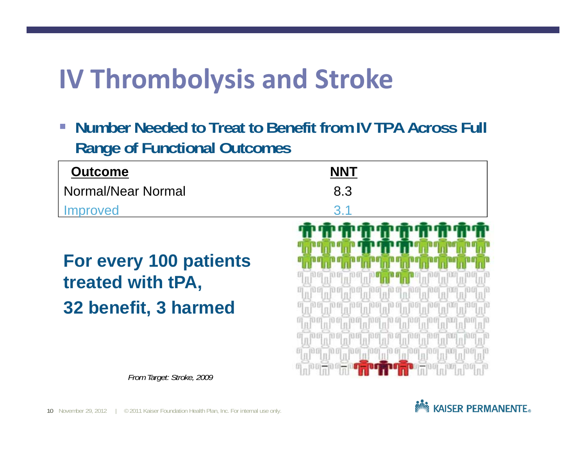# **IV Thrombolysis and Stroke**

 $\mathcal{C}^{\mathcal{A}}$  **Number Needed to Treat to Benefit from IV TPA Across Full Range of Functional Outcomes** 

| <b>Outcome</b>     | <b>NNT</b>                |  |
|--------------------|---------------------------|--|
| Normal/Near Normal | 8.3                       |  |
| Improved           | $\mathbf{\overline{2}}$ 1 |  |

**For every 100 patients treated with tPA, 32 benefit, 3 harmed**



*From Target: Stroke, 2009*

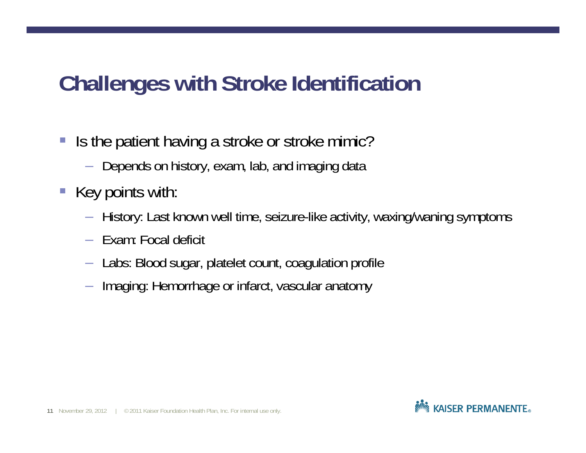## **Challenges with Stroke Identification**

- $\mathcal{L}_{\mathcal{A}}$  Is the patient having a stroke or stroke mimic?
	- $-$  Depends on history, exam, lab, and imaging data
- **Key points with:** 
	- –History: Last known well time, seizure-like activity, waxing/waning symptoms
	- Exam: Focal deficit
	- $-$  Labs: Blood sugar, platelet count, coagulation profile.
	- $-$  Imaging: Hemorrhage or infarct, vascular anatomy

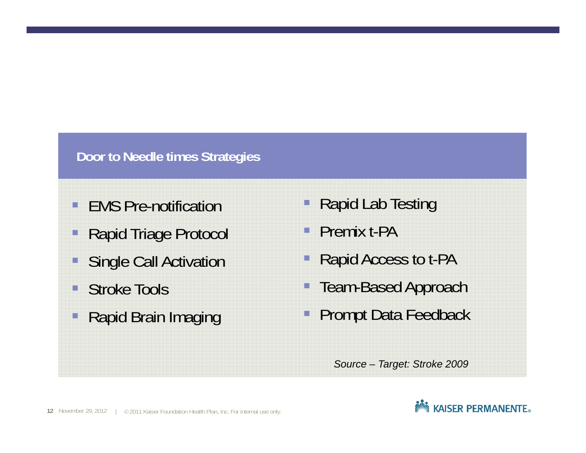#### **Door to Needle times Strategies**

- O EMS Pre-notification
- $\Box$ Rapid Triage Protocol
- <u>ia</u> Single Call Activation
- П Stroke Tools
- $\Box$ Rapid Brain Imaging
- i, Rapid Lab Testing
- **Premix t-PA**
- Rapid Access to t-PA
- Team-Based Approach
- T. Prompt Data Feedback

*Source – Target: Stroke 2009*

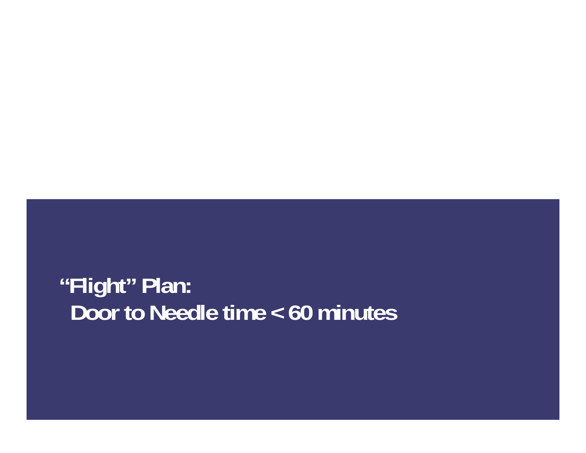## **"Flight" Plan: Door to Needle time < 60 minutes**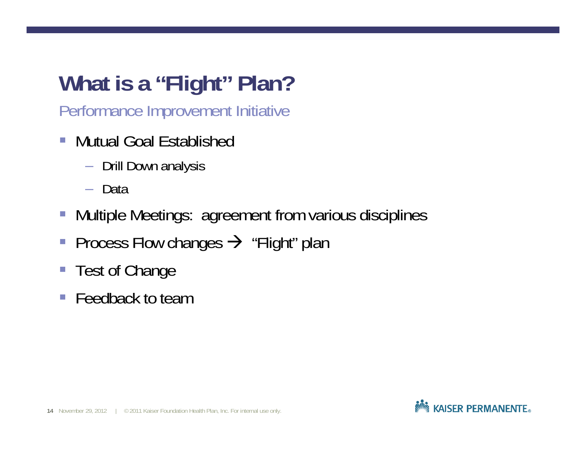# **What is a "Flight" Plan?**

Performance Improvement Initiative

- $\mathcal{L}_{\mathcal{A}}$  Mutual Goal Established
	- Drill Down analysis
	- Data
- $\overline{\mathbb{R}}$ Multiple Meetings: agreement from various disciplines
- $\overline{\mathbb{R}}$ Process Flow changes  $\rightarrow$  "Flight" plan
- $\overline{\phantom{a}}$ Test of Change
- Feedback to team

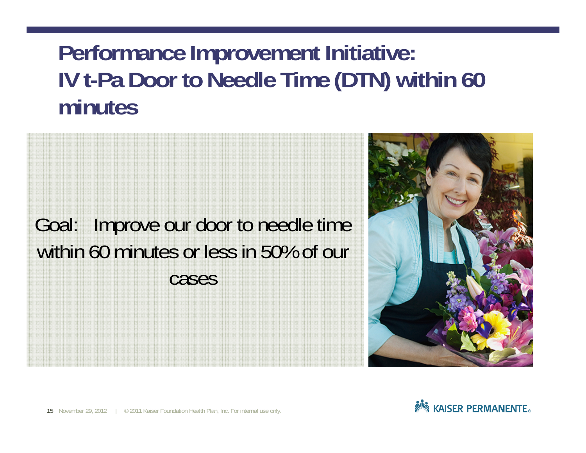## **Performance Improvement Initiative: IV t-Pa Door to Needle Time (DTN) within 60 minutes**

Goal: Improve our door to needle time within 60 minutes or less in 50% of our cases



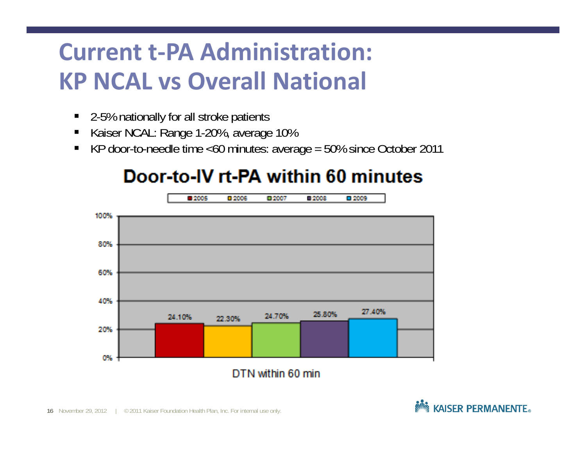# **Current t‐PA Administration: KP NCAL vs Overall National**

- $\blacksquare$ 2-5% nationally for all stroke patients
- Е Kaiser NCAL: Range 1-20%, average 10%
- $\blacksquare$ KP door-to-needle time <60 minutes: average = 50% since October 2011

### Door-to-IV rt-PA within 60 minutes



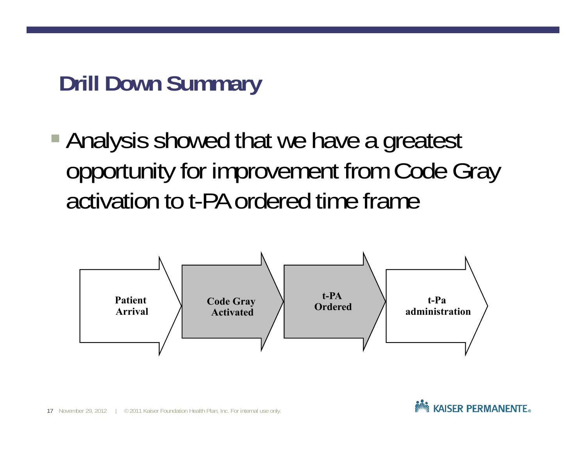## **Drill Down Summary**

**Analysis showed that we have a greatest** opportunity for improvement from Code Gray activation to t-PA ordered time frame



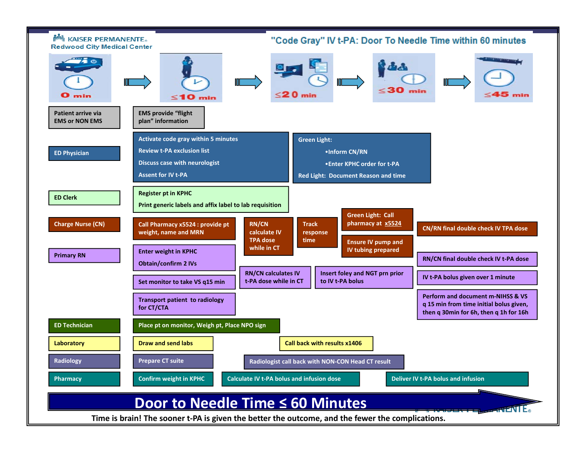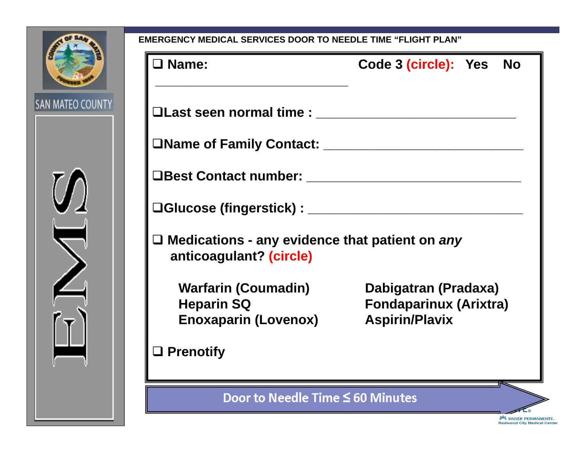

| ERGENCT MEDICAL SERVICES DOOR TO NEEDLE TIME "FLIGHT PLAN                           |                                                                                |  |  |  |  |  |
|-------------------------------------------------------------------------------------|--------------------------------------------------------------------------------|--|--|--|--|--|
| $\square$ Name:                                                                     | Code 3 (circle): Yes<br><b>No</b>                                              |  |  |  |  |  |
| $\square$ Last seen normal time :                                                   |                                                                                |  |  |  |  |  |
|                                                                                     |                                                                                |  |  |  |  |  |
|                                                                                     |                                                                                |  |  |  |  |  |
| □Glucose (fingerstick) : ________________________                                   |                                                                                |  |  |  |  |  |
| $\square$ Medications - any evidence that patient on any<br>anticoagulant? (circle) |                                                                                |  |  |  |  |  |
| <b>Warfarin (Coumadin)</b><br><b>Heparin SQ</b><br><b>Enoxaparin (Lovenox)</b>      | Dabigatran (Pradaxa)<br><b>Fondaparinux (Arixtra)</b><br><b>Aspirin/Plavix</b> |  |  |  |  |  |
| $\Box$ Prenotify                                                                    |                                                                                |  |  |  |  |  |
| Door to Needle Time $\leq 60$ Minutes                                               |                                                                                |  |  |  |  |  |

ू<br>कुर्णैद्धु KAISER PERMANENTE。<br>Redwood City Medical Center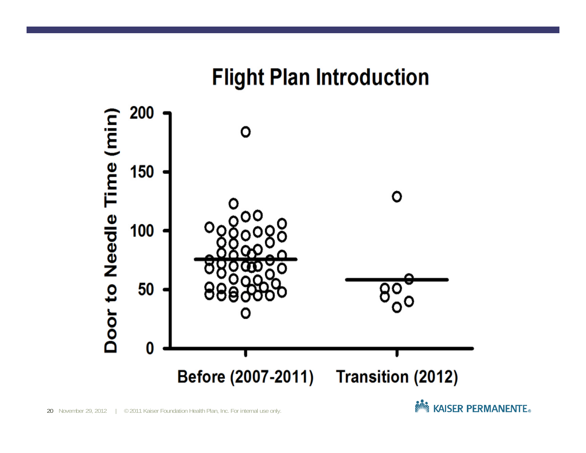### **Flight Plan Introduction**



**Note ASSER PERMANENTE**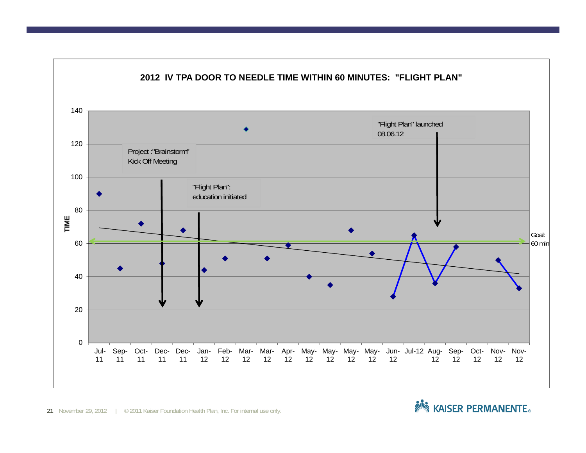

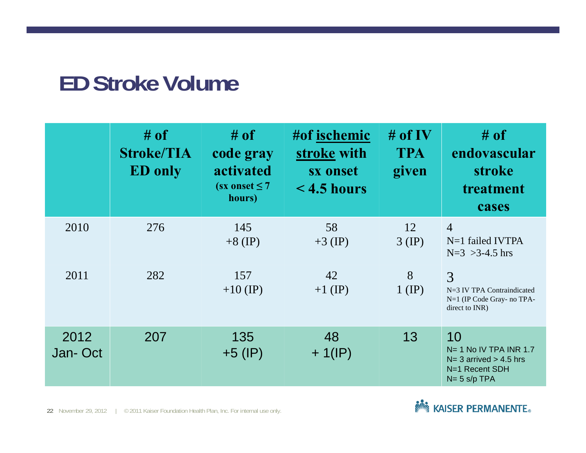### **ED Stroke Volume**

|                 | $#$ of<br><b>Stroke/TIA</b><br><b>ED</b> only | $#$ of<br>code gray<br>activated<br>$(sx$ onset $\leq 7$<br>hours) | #of ischemic<br>stroke with<br>sx onset<br>$\leq$ 4.5 hours | # of IV<br><b>TPA</b><br>given | $\#$ of<br>endovascular<br><b>stroke</b><br>treatment<br>cases                                      |
|-----------------|-----------------------------------------------|--------------------------------------------------------------------|-------------------------------------------------------------|--------------------------------|-----------------------------------------------------------------------------------------------------|
| 2010            | 276                                           | 145<br>$+8$ (IP)                                                   | 58<br>$+3$ (IP)                                             | 12<br>$3$ (IP)                 | $\overline{4}$<br>$N=1$ failed IVTPA<br>$N=3$ >3-4.5 hrs                                            |
| 2011            | 282                                           | 157<br>$+10$ (IP)                                                  | 42<br>$+1$ (IP)                                             | 8<br>$1$ (IP)                  | 3<br>N=3 IV TPA Contraindicated<br>N=1 (IP Code Gray- no TPA-<br>direct to INR)                     |
| 2012<br>Jan-Oct | 207                                           | 135<br>$+5$ (IP)                                                   | 48<br>$+ 1$ (IP)                                            | 13                             | 10<br>$N = 1$ No IV TPA INR 1.7<br>$N = 3$ arrived $> 4.5$ hrs<br>N=1 Recent SDH<br>$N = 5 s/p$ TPA |

22 November 29, 2012 | © 2011 Kaiser Foundation Health Plan, Inc. For internal use only.

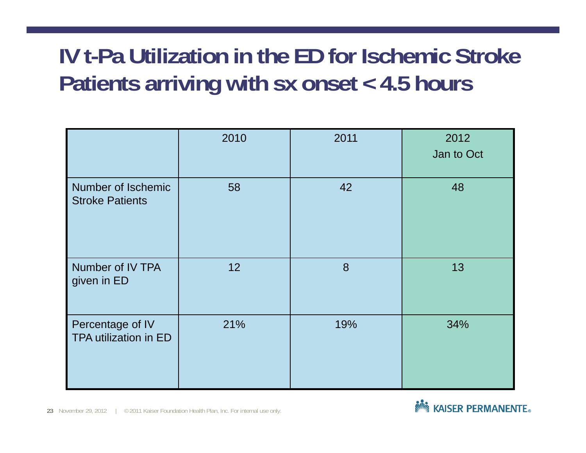## **IV t-Pa Utilization in the ED for Ischemic Stroke Patients arriving with sx onset < 4.5 hours**

|                                              | 2010 | 2011 | 2012<br>Jan to Oct |
|----------------------------------------------|------|------|--------------------|
| Number of Ischemic<br><b>Stroke Patients</b> | 58   | 42   | 48                 |
| Number of IV TPA<br>given in ED              | 12   | 8    | 13                 |
| Percentage of IV<br>TPA utilization in ED    | 21%  | 19%  | 34%                |

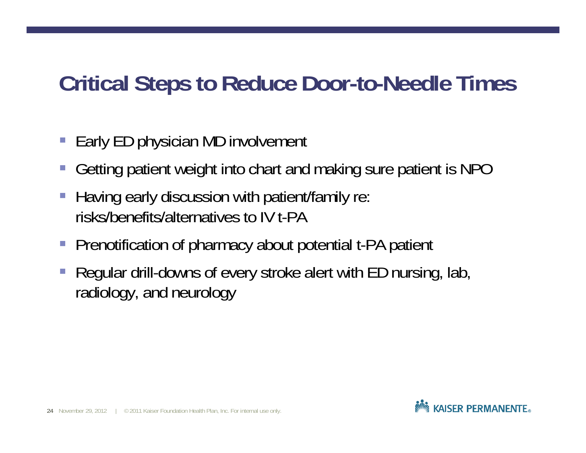## **Critical Steps to Reduce Door-to-Needle Times**

- $\mathcal{L}_{\mathcal{A}}$ Early ED physician MD involvement
- Getting patient weight into chart and making sure patient is NPO
- Having early discussion with patient/family re: risks/benefits/alternatives to IV t-PA
- $\mathcal{L}_{\mathcal{A}}$ Prenotification of pharmacy about potential t-PA patient
- Regular drill-downs of every stroke alert with ED nursing, lab, radiology, and neurology

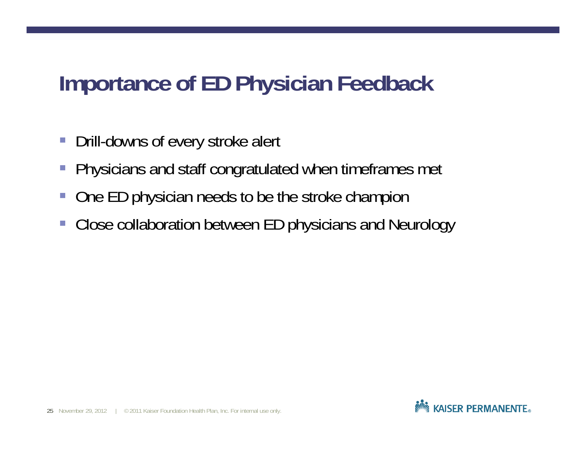## **Importance of ED Physician Feedback**

- $\mathcal{L}_{\mathcal{A}}$ Drill-downs of every stroke alert
- $\overline{\mathbb{R}}$ Physicians and staff congratulated when timeframes met
- $\mathbb{R}^3$ One ED physician needs to be the stroke champion
- $\overline{\phantom{a}}$ Close collaboration between ED physicians and Neurology

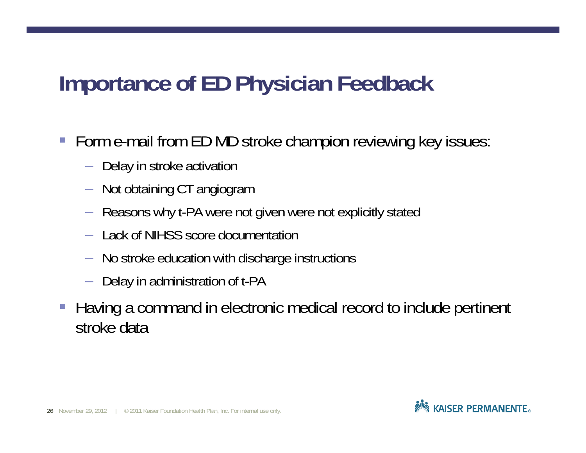## **Importance of ED Physician Feedback**

- Form e-mail from ED MD stroke champion reviewing key issues:
	- $-$  Delay in stroke activation
	- $-$  Not obtaining CT angiogram .
	- Reasons why t-PA were not given were not explicitly stated
	- Lack of NIHSS score documentation
	- No stroke education with discharge instructions
	- $-$  Delay in administration of t-PA
- $\mathcal{L}_{\mathcal{A}}$  Having a command in electronic medical record to include pertinent stroke data

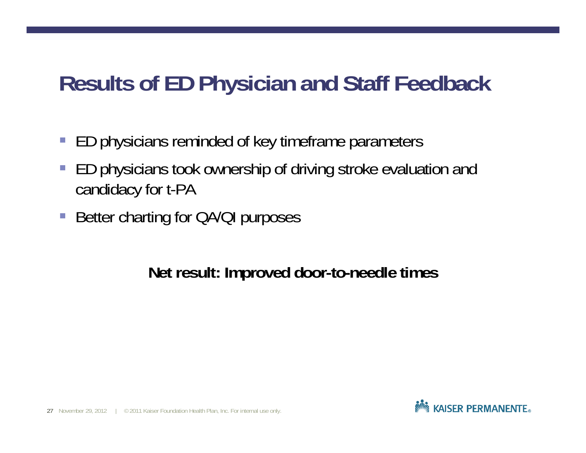## **Results of ED Physician and Staff Feedback**

- $\mathcal{L}_{\mathcal{A}}$ ED physicians reminded of key timeframe parameters
- $\overline{\phantom{a}}$  ED physicians took ownership of driving stroke evaluation and candidacy for t-PA
- $\overline{\mathbb{R}}$ Better charting for QA/QI purposes

**Net result: Improved door-to-needle times**